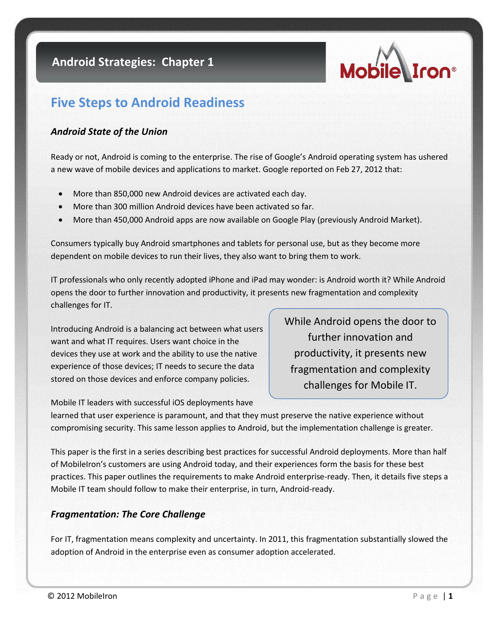

# **Five Steps to Android Readiness**

### *Android State of the Union*

Ready or not, Android is coming to the enterprise. The rise of Google's Android operating system has ushered a new wave of mobile devices and applications to market. Google reported on Feb 27, 2012 that:

- More than 850,000 new Android devices are activated each day.
- More than 300 million Android devices have been activated so far.
- More than 450,000 Android apps are now available on Google Play (previously Android Market).

Consumers typically buy Android smartphones and tablets for personal use, but as they become more dependent on mobile devices to run their lives, they also want to bring them to work.

IT professionals who only recently adopted iPhone and iPad may wonder: is Android worth it? While Android opens the door to further innovation and productivity, it presents new fragmentation and complexity challenges for IT.

Introducing Android is a balancing act between what users want and what IT requires. Users want choice in the devices they use at work and the ability to use the native experience of those devices; IT needs to secure the data stored on those devices and enforce company policies.

While Android opens the door to further innovation and productivity, it presents new fragmentation and complexity challenges for Mobile IT.

Mobile IT leaders with successful iOS deployments have learned that user experience is paramount, and that they must preserve the native experience without compromising security. This same lesson applies to Android, but the implementation challenge is greater.

This paper is the first in a series describing best practices for successful Android deployments. More than half of MobileIron's customers are using Android today, and their experiences form the basis for these best practices. This paper outlines the requirements to make Android enterprise-ready. Then, it details five steps a Mobile IT team should follow to make their enterprise, in turn, Android-ready.

### *Fragmentation: The Core Challenge*

For IT, fragmentation means complexity and uncertainty. In 2011, this fragmentation substantially slowed the adoption of Android in the enterprise even as consumer adoption accelerated.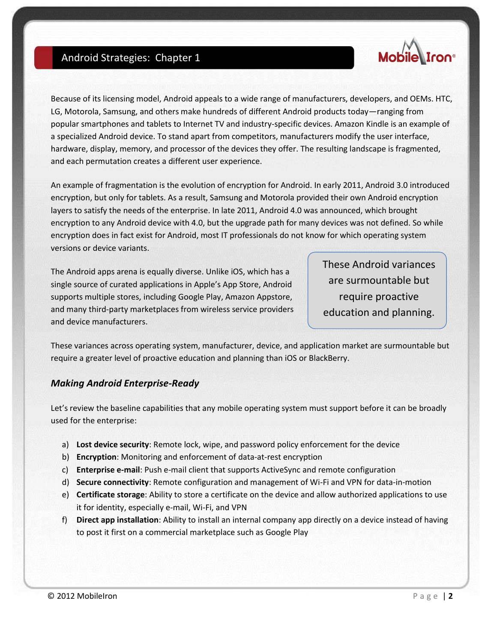

Because of its licensing model, Android appeals to a wide range of manufacturers, developers, and OEMs. HTC, LG, Motorola, Samsung, and others make hundreds of different Android products today—ranging from popular smartphones and tablets to Internet TV and industry-specific devices. Amazon Kindle is an example of a specialized Android device. To stand apart from competitors, manufacturers modify the user interface, hardware, display, memory, and processor of the devices they offer. The resulting landscape is fragmented, and each permutation creates a different user experience.

An example of fragmentation is the evolution of encryption for Android. In early 2011, Android 3.0 introduced encryption, but only for tablets. As a result, Samsung and Motorola provided their own Android encryption layers to satisfy the needs of the enterprise. In late 2011, Android 4.0 was announced, which brought encryption to any Android device with 4.0, but the upgrade path for many devices was not defined. So while encryption does in fact exist for Android, most IT professionals do not know for which operating system versions or device variants.

The Android apps arena is equally diverse. Unlike iOS, which has a single source of curated applications in Apple's App Store, Android supports multiple stores, including Google Play, Amazon Appstore, and many third-party marketplaces from wireless service providers and device manufacturers.

These Android variances are surmountable but require proactive education and planning.

These variances across operating system, manufacturer, device, and application market are surmountable but require a greater level of proactive education and planning than iOS or BlackBerry.

### *Making Android Enterprise-Ready*

Let's review the baseline capabilities that any mobile operating system must support before it can be broadly used for the enterprise:

- a) **Lost device security**: Remote lock, wipe, and password policy enforcement for the device
- b) **Encryption**: Monitoring and enforcement of data-at-rest encryption
- c) **Enterprise e-mail**: Push e-mail client that supports ActiveSync and remote configuration
- d) **Secure connectivity**: Remote configuration and management of Wi-Fi and VPN for data-in-motion
- e) **Certificate storage**: Ability to store a certificate on the device and allow authorized applications to use it for identity, especially e-mail, Wi-Fi, and VPN
- f) **Direct app installation**: Ability to install an internal company app directly on a device instead of having to post it first on a commercial marketplace such as Google Play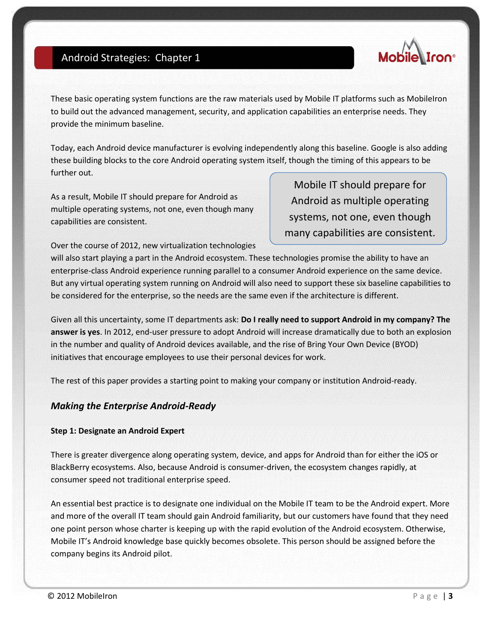

These basic operating system functions are the raw materials used by Mobile IT platforms such as MobileIron to build out the advanced management, security, and application capabilities an enterprise needs. They provide the minimum baseline.

Today, each Android device manufacturer is evolving independently along this baseline. Google is also adding these building blocks to the core Android operating system itself, though the timing of this appears to be further out.

As a result, Mobile IT should prepare for Android as multiple operating systems, not one, even though many capabilities are consistent.

Mobile IT should prepare for Android as multiple operating systems, not one, even though many capabilities are consistent.

Over the course of 2012, new virtualization technologies

will also start playing a part in the Android ecosystem. These technologies promise the ability to have an enterprise-class Android experience running parallel to a consumer Android experience on the same device. But any virtual operating system running on Android will also need to support these six baseline capabilities to be considered for the enterprise, so the needs are the same even if the architecture is different.

Given all this uncertainty, some IT departments ask: **Do I really need to support Android in my company? The answer is yes**. In 2012, end-user pressure to adopt Android will increase dramatically due to both an explosion in the number and quality of Android devices available, and the rise of Bring Your Own Device (BYOD) initiatives that encourage employees to use their personal devices for work.

The rest of this paper provides a starting point to making your company or institution Android-ready.

#### *Making the Enterprise Android-Ready*

#### **Step 1: Designate an Android Expert**

There is greater divergence along operating system, device, and apps for Android than for either the iOS or BlackBerry ecosystems. Also, because Android is consumer-driven, the ecosystem changes rapidly, at consumer speed not traditional enterprise speed.

An essential best practice is to designate one individual on the Mobile IT team to be the Android expert. More and more of the overall IT team should gain Android familiarity, but our customers have found that they need one point person whose charter is keeping up with the rapid evolution of the Android ecosystem. Otherwise, Mobile IT's Android knowledge base quickly becomes obsolete. This person should be assigned before the company begins its Android pilot.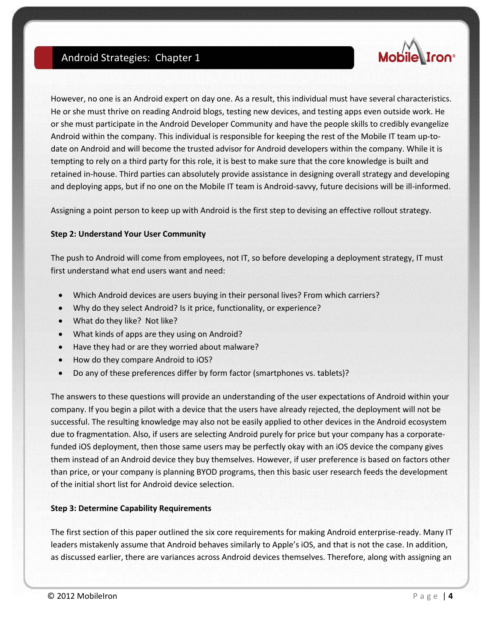

However, no one is an Android expert on day one. As a result, this individual must have several characteristics. He or she must thrive on reading Android blogs, testing new devices, and testing apps even outside work. He or she must participate in the Android Developer Community and have the people skills to credibly evangelize Android within the company. This individual is responsible for keeping the rest of the Mobile IT team up-todate on Android and will become the trusted advisor for Android developers within the company. While it is tempting to rely on a third party for this role, it is best to make sure that the core knowledge is built and retained in-house. Third parties can absolutely provide assistance in designing overall strategy and developing and deploying apps, but if no one on the Mobile IT team is Android-savvy, future decisions will be ill-informed.

Assigning a point person to keep up with Android is the first step to devising an effective rollout strategy.

#### **Step 2: Understand Your User Community**

The push to Android will come from employees, not IT, so before developing a deployment strategy, IT must first understand what end users want and need:

- Which Android devices are users buying in their personal lives? From which carriers?
- Why do they select Android? Is it price, functionality, or experience?
- What do they like? Not like?
- What kinds of apps are they using on Android?
- Have they had or are they worried about malware?
- How do they compare Android to iOS?
- Do any of these preferences differ by form factor (smartphones vs. tablets)?

The answers to these questions will provide an understanding of the user expectations of Android within your company. If you begin a pilot with a device that the users have already rejected, the deployment will not be successful. The resulting knowledge may also not be easily applied to other devices in the Android ecosystem due to fragmentation. Also, if users are selecting Android purely for price but your company has a corporatefunded iOS deployment, then those same users may be perfectly okay with an iOS device the company gives them instead of an Android device they buy themselves. However, if user preference is based on factors other than price, or your company is planning BYOD programs, then this basic user research feeds the development of the initial short list for Android device selection.

#### **Step 3: Determine Capability Requirements**

The first section of this paper outlined the six core requirements for making Android enterprise-ready. Many IT leaders mistakenly assume that Android behaves similarly to Apple's iOS, and that is not the case. In addition, as discussed earlier, there are variances across Android devices themselves. Therefore, along with assigning an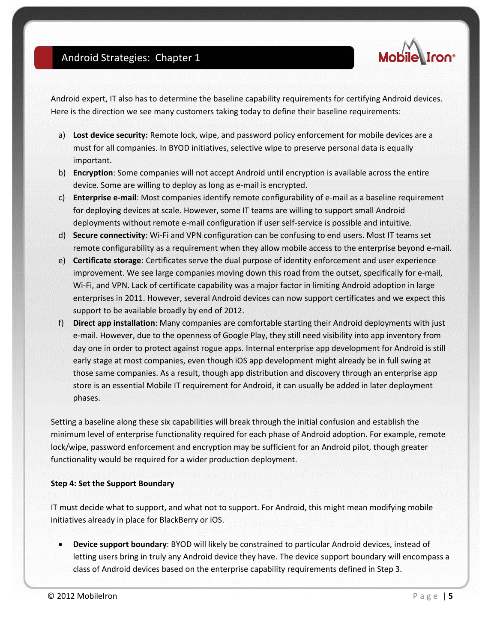

Android expert, IT also has to determine the baseline capability requirements for certifying Android devices. Here is the direction we see many customers taking today to define their baseline requirements:

- a) **Lost device security:** Remote lock, wipe, and password policy enforcement for mobile devices are a must for all companies. In BYOD initiatives, selective wipe to preserve personal data is equally important.
- b) **Encryption**: Some companies will not accept Android until encryption is available across the entire device. Some are willing to deploy as long as e-mail is encrypted.
- c) **Enterprise e-mail**: Most companies identify remote configurability of e-mail as a baseline requirement for deploying devices at scale. However, some IT teams are willing to support small Android deployments without remote e-mail configuration if user self-service is possible and intuitive.
- d) **Secure connectivity**: Wi-Fi and VPN configuration can be confusing to end users. Most IT teams set remote configurability as a requirement when they allow mobile access to the enterprise beyond e-mail.
- e) **Certificate storage**: Certificates serve the dual purpose of identity enforcement and user experience improvement. We see large companies moving down this road from the outset, specifically for e-mail, Wi-Fi, and VPN. Lack of certificate capability was a major factor in limiting Android adoption in large enterprises in 2011. However, several Android devices can now support certificates and we expect this support to be available broadly by end of 2012.
- f) **Direct app installation**: Many companies are comfortable starting their Android deployments with just e-mail. However, due to the openness of Google Play, they still need visibility into app inventory from day one in order to protect against rogue apps. Internal enterprise app development for Android is still early stage at most companies, even though iOS app development might already be in full swing at those same companies. As a result, though app distribution and discovery through an enterprise app store is an essential Mobile IT requirement for Android, it can usually be added in later deployment phases.

Setting a baseline along these six capabilities will break through the initial confusion and establish the minimum level of enterprise functionality required for each phase of Android adoption. For example, remote lock/wipe, password enforcement and encryption may be sufficient for an Android pilot, though greater functionality would be required for a wider production deployment.

#### **Step 4: Set the Support Boundary**

IT must decide what to support, and what not to support. For Android, this might mean modifying mobile initiatives already in place for BlackBerry or iOS.

 **Device support boundary**: BYOD will likely be constrained to particular Android devices, instead of letting users bring in truly any Android device they have. The device support boundary will encompass a class of Android devices based on the enterprise capability requirements defined in Step 3.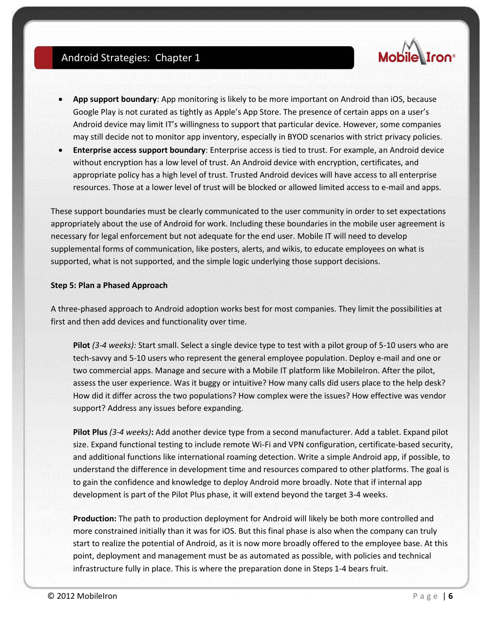

- **App support boundary**: App monitoring is likely to be more important on Android than iOS, because Google Play is not curated as tightly as Apple's App Store. The presence of certain apps on a user's Android device may limit IT's willingness to support that particular device. However, some companies may still decide not to monitor app inventory, especially in BYOD scenarios with strict privacy policies.
- **Enterprise access support boundary**: Enterprise access is tied to trust. For example, an Android device without encryption has a low level of trust. An Android device with encryption, certificates, and appropriate policy has a high level of trust. Trusted Android devices will have access to all enterprise resources. Those at a lower level of trust will be blocked or allowed limited access to e-mail and apps.

These support boundaries must be clearly communicated to the user community in order to set expectations appropriately about the use of Android for work. Including these boundaries in the mobile user agreement is necessary for legal enforcement but not adequate for the end user. Mobile IT will need to develop supplemental forms of communication, like posters, alerts, and wikis, to educate employees on what is supported, what is not supported, and the simple logic underlying those support decisions.

#### **Step 5: Plan a Phased Approach**

A three-phased approach to Android adoption works best for most companies. They limit the possibilities at first and then add devices and functionality over time.

**Pilot** *(3-4 weeks):* Start small. Select a single device type to test with a pilot group of 5-10 users who are tech-savvy and 5-10 users who represent the general employee population. Deploy e-mail and one or two commercial apps. Manage and secure with a Mobile IT platform like MobileIron. After the pilot, assess the user experience. Was it buggy or intuitive? How many calls did users place to the help desk? How did it differ across the two populations? How complex were the issues? How effective was vendor support? Address any issues before expanding.

**Pilot Plus** *(3-4 weeks)***:** Add another device type from a second manufacturer. Add a tablet. Expand pilot size. Expand functional testing to include remote Wi-Fi and VPN configuration, certificate-based security, and additional functions like international roaming detection. Write a simple Android app, if possible, to understand the difference in development time and resources compared to other platforms. The goal is to gain the confidence and knowledge to deploy Android more broadly. Note that if internal app development is part of the Pilot Plus phase, it will extend beyond the target 3-4 weeks.

**Production:** The path to production deployment for Android will likely be both more controlled and more constrained initially than it was for iOS. But this final phase is also when the company can truly start to realize the potential of Android, as it is now more broadly offered to the employee base. At this point, deployment and management must be as automated as possible, with policies and technical infrastructure fully in place. This is where the preparation done in Steps 1-4 bears fruit.